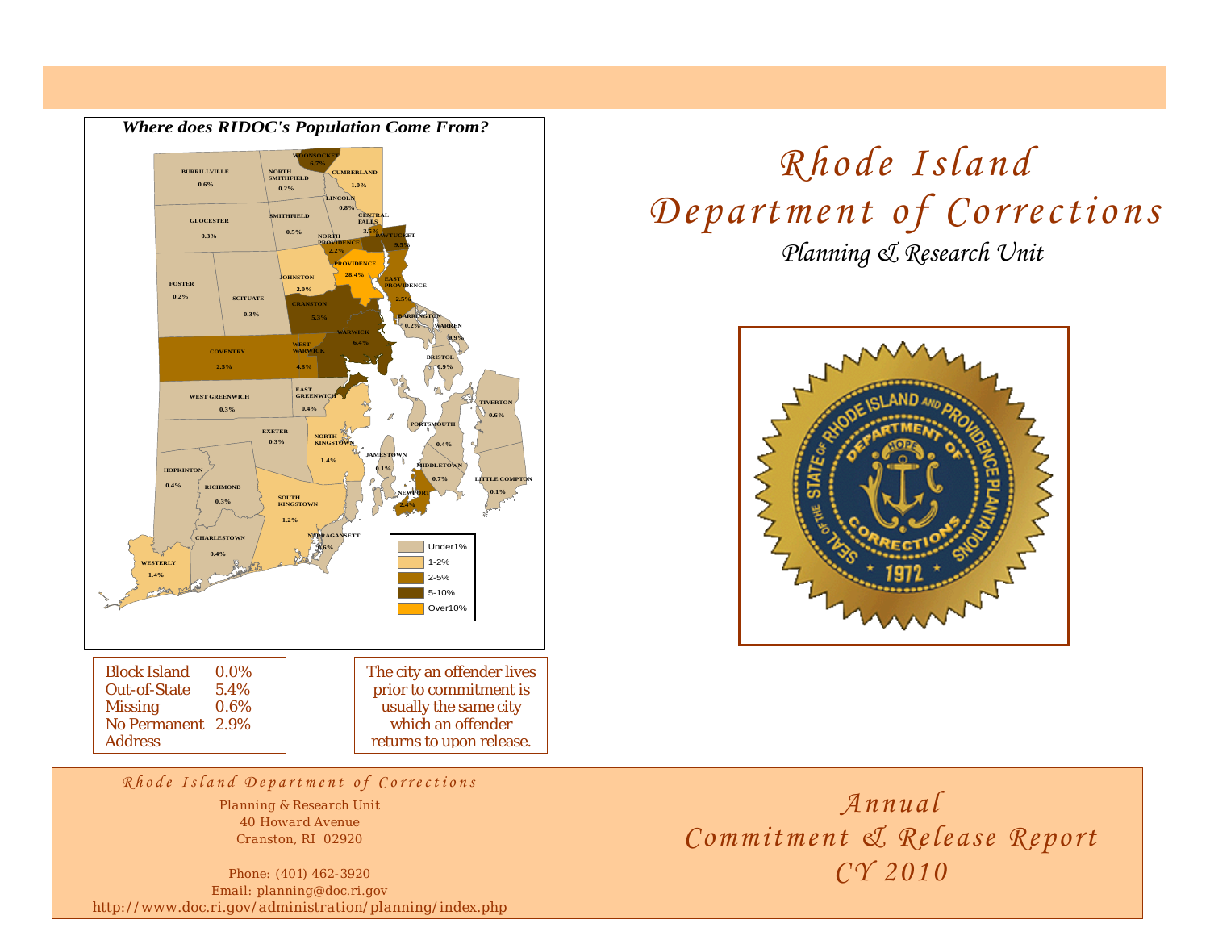

## *Planning & Research Unit Rhode Island Department of Corrections*



*Rhode Island Department of Corrections*

*Planning & Research Unit 40 Howard Avenue Cranston, RI 02920* 

*Phone: (401) 462-3920 Email: planning@doc.ri.gov http://www.doc.ri.gov/administration/planning/index.php* 

*Annual Commitment & Release Report CY 2010*